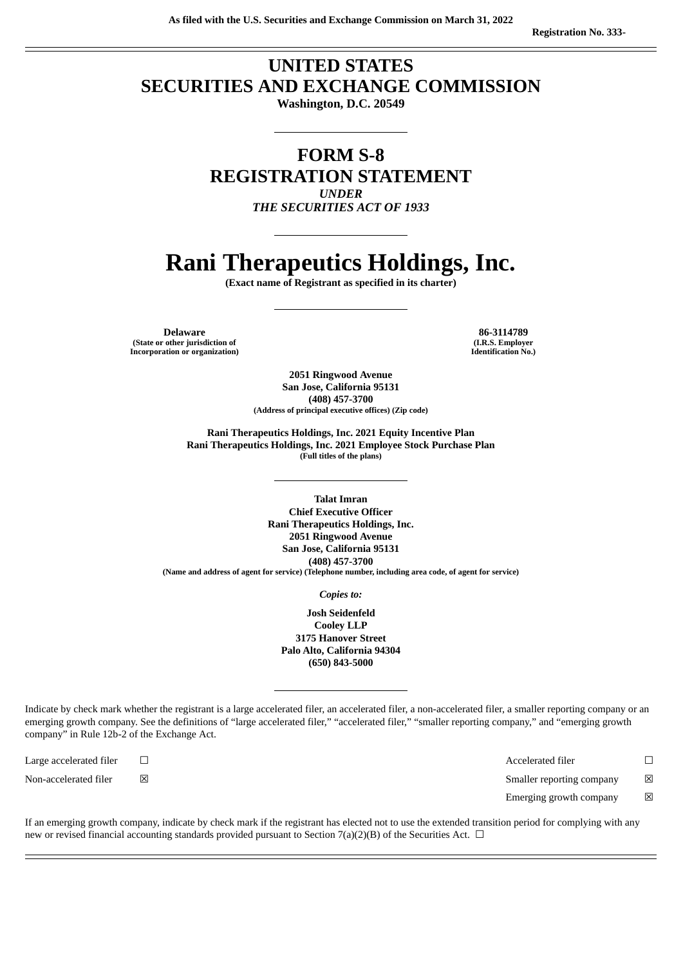## **UNITED STATES SECURITIES AND EXCHANGE COMMISSION**

**Washington, D.C. 20549**

### **FORM S-8 REGISTRATION STATEMENT** *UNDER*

*THE SECURITIES ACT OF 1933*

# **Rani Therapeutics Holdings, Inc.**

**(Exact name of Registrant as specified in its charter)**

**Delaware 86-3114789 (State or other jurisdiction of Incorporation or organization)**

**(I.R.S. Employer Identification No.)**

**2051 Ringwood Avenue San Jose, California 95131 (408) 457-3700 (Address of principal executive offices) (Zip code)**

**Rani Therapeutics Holdings, Inc. 2021 Equity Incentive Plan Rani Therapeutics Holdings, Inc. 2021 Employee Stock Purchase Plan (Full titles of the plans)**

**Talat Imran Chief Executive Officer Rani Therapeutics Holdings, Inc. 2051 Ringwood Avenue San Jose, California 95131 (408) 457-3700 (Name and address of agent for service) (Telephone number, including area code, of agent for service)**

*Copies to:*

**Josh Seidenfeld Cooley LLP 3175 Hanover Street Palo Alto, California 94304 (650) 843-5000**

Indicate by check mark whether the registrant is a large accelerated filer, an accelerated filer, a non-accelerated filer, a smaller reporting company or an emerging growth company. See the definitions of "large accelerated filer," "accelerated filer," "smaller reporting company," and "emerging growth company" in Rule 12b-2 of the Exchange Act.

Large accelerated filer ☐ Accelerated filer ☐

Non-accelerated filer  $□$  ⊠  $□$   $□$  Smaller reporting company  $□$ 

Emerging growth company  $\boxtimes$ 

If an emerging growth company, indicate by check mark if the registrant has elected not to use the extended transition period for complying with any new or revised financial accounting standards provided pursuant to Section 7(a)(2)(B) of the Securities Act.  $\Box$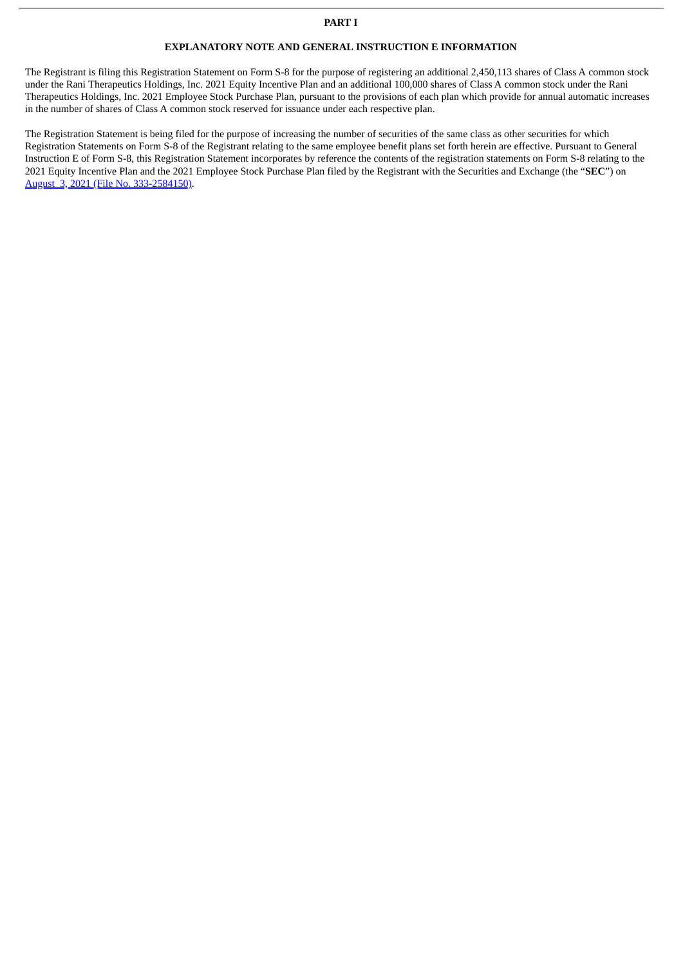#### **EXPLANATORY NOTE AND GENERAL INSTRUCTION E INFORMATION**

The Registrant is filing this Registration Statement on Form S-8 for the purpose of registering an additional 2,450,113 shares of Class A common stock under the Rani Therapeutics Holdings, Inc. 2021 Equity Incentive Plan and an additional 100,000 shares of Class A common stock under the Rani Therapeutics Holdings, Inc. 2021 Employee Stock Purchase Plan, pursuant to the provisions of each plan which provide for annual automatic increases in the number of shares of Class A common stock reserved for issuance under each respective plan.

The Registration Statement is being filed for the purpose of increasing the number of securities of the same class as other securities for which Registration Statements on Form S-8 of the Registrant relating to the same employee benefit plans set forth herein are effective. Pursuant to General Instruction E of Form S-8, this Registration Statement incorporates by reference the contents of the registration statements on Form S-8 relating to the 2021 Equity Incentive Plan and the 2021 Employee Stock Purchase Plan filed by the Registrant with the Securities and Exchange (the "**SEC**") on August 3, 2021 (File No. [333-2584150\)](http://www.sec.gov/Archives/edgar/data/0001856725/000119312521235042/d161667ds8.htm).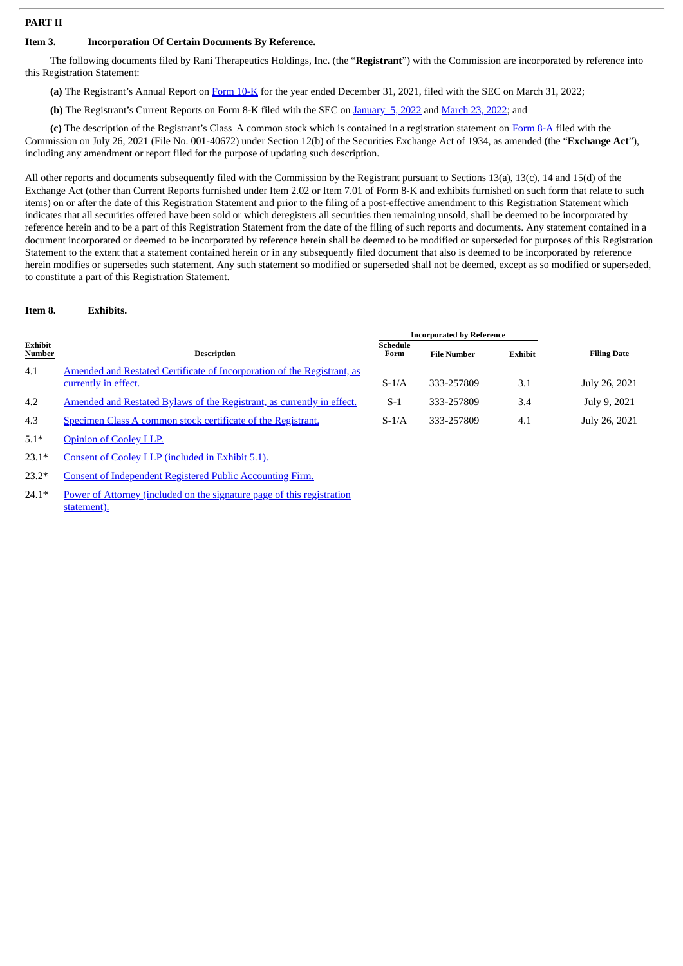#### **PART II**

#### **Item 3. Incorporation Of Certain Documents By Reference.**

The following documents filed by Rani Therapeutics Holdings, Inc. (the "**Registrant**") with the Commission are incorporated by reference into this Registration Statement:

**(a)** The Registrant's Annual Report on [Form](http://www.sec.gov/ix?doc=/Archives/edgar/data/1856725/000095017022005088/rani-20211231.htm) 10-K for the year ended December 31, 2021, filed with the SEC on March 31, 2022;

**(b)** The Registrant's Current Reports on Form 8-K filed with the SEC on [January](http://www.sec.gov/Archives/edgar/data/0001856725/000119312522002651/d281285d8k.htm) 5, 2022 and [March](http://www.sec.gov/ix?doc=/Archives/edgar/data/1856725/000119312522082742/d284920d8k.htm) 23, 2022; and

**(c)** The description of the Registrant's Class A common stock which is contained in a registration statement on [Form](http://www.sec.gov/Archives/edgar/data/0001856725/000119312521224394/d193678d8a12b.htm) 8-A filed with the Commission on July 26, 2021 (File No. 001-40672) under Section 12(b) of the Securities Exchange Act of 1934, as amended (the "**Exchange Act**"), including any amendment or report filed for the purpose of updating such description.

All other reports and documents subsequently filed with the Commission by the Registrant pursuant to Sections 13(a), 13(c), 14 and 15(d) of the Exchange Act (other than Current Reports furnished under Item 2.02 or Item 7.01 of Form 8-K and exhibits furnished on such form that relate to such items) on or after the date of this Registration Statement and prior to the filing of a post-effective amendment to this Registration Statement which indicates that all securities offered have been sold or which deregisters all securities then remaining unsold, shall be deemed to be incorporated by reference herein and to be a part of this Registration Statement from the date of the filing of such reports and documents. Any statement contained in a document incorporated or deemed to be incorporated by reference herein shall be deemed to be modified or superseded for purposes of this Registration Statement to the extent that a statement contained herein or in any subsequently filed document that also is deemed to be incorporated by reference herein modifies or supersedes such statement. Any such statement so modified or superseded shall not be deemed, except as so modified or superseded, to constitute a part of this Registration Statement.

#### **Item 8. Exhibits.**

|                          |                                                                                                 | <b>Incorporated by Reference</b> |                    |         |                    |
|--------------------------|-------------------------------------------------------------------------------------------------|----------------------------------|--------------------|---------|--------------------|
| Exhibit<br><b>Number</b> | <b>Description</b>                                                                              | <b>Schedule</b><br>Form          | <b>File Number</b> | Exhibit | <b>Filing Date</b> |
| 4.1                      | Amended and Restated Certificate of Incorporation of the Registrant, as<br>currently in effect. | $S-1/A$                          | 333-257809         | 3.1     | July 26, 2021      |
| 4.2                      | Amended and Restated Bylaws of the Registrant, as currently in effect.                          | $S-1$                            | 333-257809         | 3.4     | July 9, 2021       |
| 4.3                      | Specimen Class A common stock certificate of the Registrant.                                    | $S-1/A$                          | 333-257809         | 4.1     | July 26, 2021      |

5.1\* [Opinion](#page-5-0) of Cooley LLP.

23.1\* Consent of Cooley LLP [\(included](#page-5-0) in Exhibit 5.1).

23.2\* Consent of [Independent](#page-7-0) Registered Public Accounting Firm.

24.1\* Power of Attorney (included on the signature page of this [registration](#page-4-0) statement).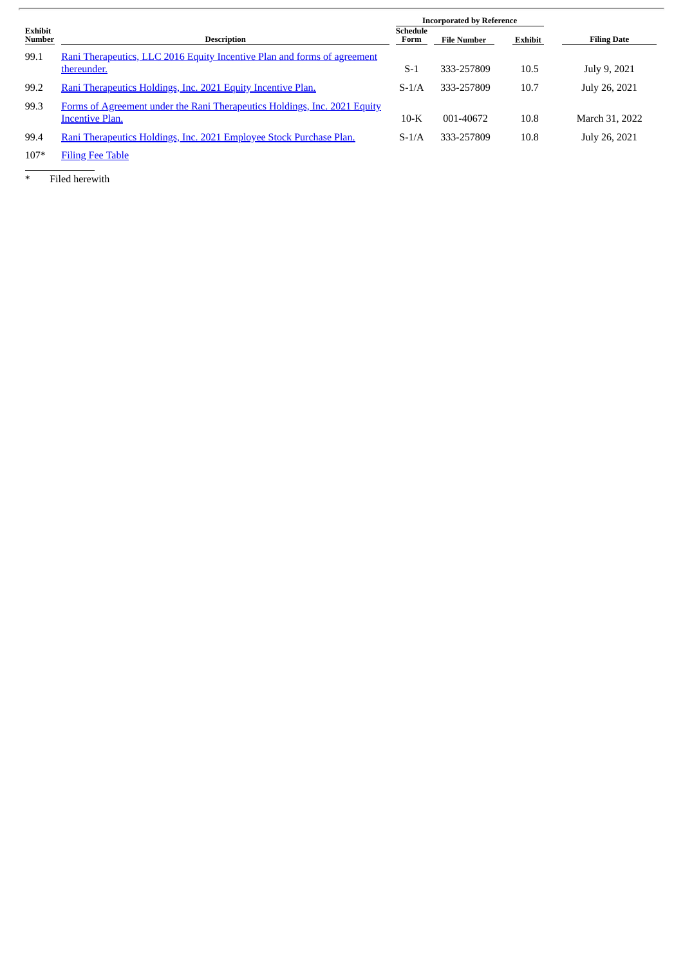|                                 |                                                                                                     | <b>Incorporated by Reference</b> |                    |         |                    |
|---------------------------------|-----------------------------------------------------------------------------------------------------|----------------------------------|--------------------|---------|--------------------|
| <b>Exhibit</b><br><b>Number</b> | Description                                                                                         | Schedule<br>Form                 | <b>File Number</b> | Exhibit | <b>Filing Date</b> |
| 99.1                            | Rani Therapeutics, LLC 2016 Equity Incentive Plan and forms of agreement<br>thereunder.             | $S-1$                            | 333-257809         | 10.5    | July 9, 2021       |
| 99.2                            | Rani Therapeutics Holdings, Inc. 2021 Equity Incentive Plan.                                        | $S-1/A$                          | 333-257809         | 10.7    | July 26, 2021      |
| 99.3                            | Forms of Agreement under the Rani Therapeutics Holdings, Inc. 2021 Equity<br><b>Incentive Plan.</b> | $10-K$                           | 001-40672          | 10.8    | March 31, 2022     |
| 99.4                            | Rani Therapeutics Holdings, Inc. 2021 Employee Stock Purchase Plan.                                 | $S-1/A$                          | 333-257809         | 10.8    | July 26, 2021      |

107\* [Filing](#page-8-0) Fee Table

\* Filed herewith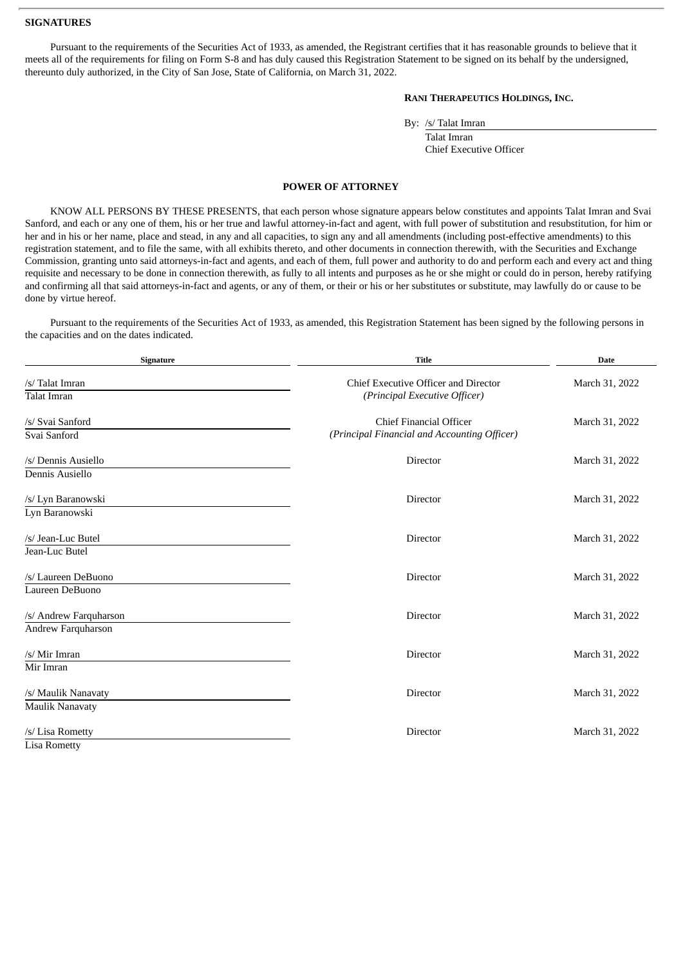#### **SIGNATURES**

Pursuant to the requirements of the Securities Act of 1933, as amended, the Registrant certifies that it has reasonable grounds to believe that it meets all of the requirements for filing on Form S-8 and has duly caused this Registration Statement to be signed on its behalf by the undersigned, thereunto duly authorized, in the City of San Jose, State of California, on March 31, 2022.

#### **RANI THERAPEUTICS HOLDINGS, INC.**

By: /s/ Talat Imran

Talat Imran Chief Executive Officer

#### **POWER OF ATTORNEY**

<span id="page-4-0"></span>KNOW ALL PERSONS BY THESE PRESENTS, that each person whose signature appears below constitutes and appoints Talat Imran and Svai Sanford, and each or any one of them, his or her true and lawful attorney-in-fact and agent, with full power of substitution and resubstitution, for him or her and in his or her name, place and stead, in any and all capacities, to sign any and all amendments (including post-effective amendments) to this registration statement, and to file the same, with all exhibits thereto, and other documents in connection therewith, with the Securities and Exchange Commission, granting unto said attorneys-in-fact and agents, and each of them, full power and authority to do and perform each and every act and thing requisite and necessary to be done in connection therewith, as fully to all intents and purposes as he or she might or could do in person, hereby ratifying and confirming all that said attorneys-in-fact and agents, or any of them, or their or his or her substitutes or substitute, may lawfully do or cause to be done by virtue hereof.

Pursuant to the requirements of the Securities Act of 1933, as amended, this Registration Statement has been signed by the following persons in the capacities and on the dates indicated.

| Signature              | <b>Title</b>                                 | <b>Date</b>    |
|------------------------|----------------------------------------------|----------------|
| /s/ Talat Imran        | <b>Chief Executive Officer and Director</b>  | March 31, 2022 |
| <b>Talat Imran</b>     | (Principal Executive Officer)                |                |
| /s/ Svai Sanford       | <b>Chief Financial Officer</b>               | March 31, 2022 |
| Svai Sanford           | (Principal Financial and Accounting Officer) |                |
| /s/ Dennis Ausiello    | Director                                     | March 31, 2022 |
| Dennis Ausiello        |                                              |                |
| /s/ Lyn Baranowski     | <b>Director</b>                              | March 31, 2022 |
| Lyn Baranowski         |                                              |                |
| /s/ Jean-Luc Butel     | Director                                     | March 31, 2022 |
| Jean-Luc Butel         |                                              |                |
| /s/ Laureen DeBuono    | Director                                     | March 31, 2022 |
| Laureen DeBuono        |                                              |                |
| /s/ Andrew Farquharson | <b>Director</b>                              | March 31, 2022 |
| Andrew Farquharson     |                                              |                |
| /s/ Mir Imran          | <b>Director</b>                              | March 31, 2022 |
| Mir Imran              |                                              |                |
| /s/ Maulik Nanavaty    | Director                                     | March 31, 2022 |
| <b>Maulik Nanavaty</b> |                                              |                |
| /s/ Lisa Rometty       | Director                                     | March 31, 2022 |
| <b>Lisa Rometty</b>    |                                              |                |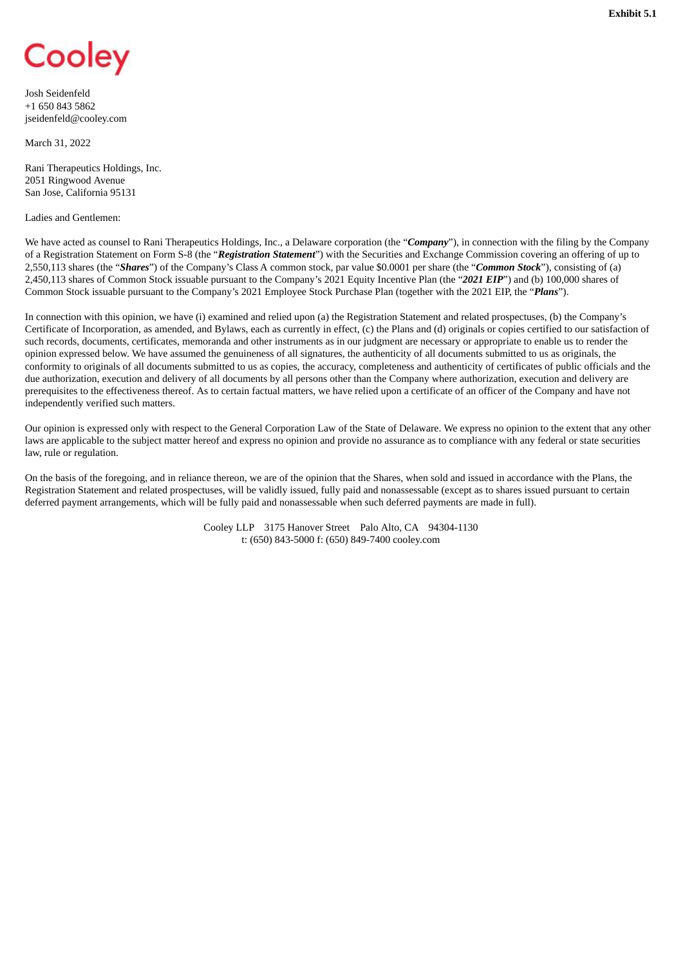<span id="page-5-0"></span>

Josh Seidenfeld +1 650 843 5862 jseidenfeld@cooley.com

March 31, 2022

Rani Therapeutics Holdings, Inc. 2051 Ringwood Avenue San Jose, California 95131

Ladies and Gentlemen:

We have acted as counsel to Rani Therapeutics Holdings, Inc., a Delaware corporation (the "*Company*"), in connection with the filing by the Company of a Registration Statement on Form S-8 (the "*Registration Statement*") with the Securities and Exchange Commission covering an offering of up to 2,550,113 shares (the "*Shares*") of the Company's Class A common stock, par value \$0.0001 per share (the "*Common Stock*"), consisting of (a) 2,450,113 shares of Common Stock issuable pursuant to the Company's 2021 Equity Incentive Plan (the "*2021 EIP*") and (b) 100,000 shares of Common Stock issuable pursuant to the Company's 2021 Employee Stock Purchase Plan (together with the 2021 EIP, the "*Plans*").

In connection with this opinion, we have (i) examined and relied upon (a) the Registration Statement and related prospectuses, (b) the Company's Certificate of Incorporation, as amended, and Bylaws, each as currently in effect, (c) the Plans and (d) originals or copies certified to our satisfaction of such records, documents, certificates, memoranda and other instruments as in our judgment are necessary or appropriate to enable us to render the opinion expressed below. We have assumed the genuineness of all signatures, the authenticity of all documents submitted to us as originals, the conformity to originals of all documents submitted to us as copies, the accuracy, completeness and authenticity of certificates of public officials and the due authorization, execution and delivery of all documents by all persons other than the Company where authorization, execution and delivery are prerequisites to the effectiveness thereof. As to certain factual matters, we have relied upon a certificate of an officer of the Company and have not independently verified such matters.

Our opinion is expressed only with respect to the General Corporation Law of the State of Delaware. We express no opinion to the extent that any other laws are applicable to the subject matter hereof and express no opinion and provide no assurance as to compliance with any federal or state securities law, rule or regulation.

On the basis of the foregoing, and in reliance thereon, we are of the opinion that the Shares, when sold and issued in accordance with the Plans, the Registration Statement and related prospectuses, will be validly issued, fully paid and nonassessable (except as to shares issued pursuant to certain deferred payment arrangements, which will be fully paid and nonassessable when such deferred payments are made in full).

> Cooley LLP 3175 Hanover Street Palo Alto, CA 94304-1130 t: (650) 843-5000 f: (650) 849-7400 cooley.com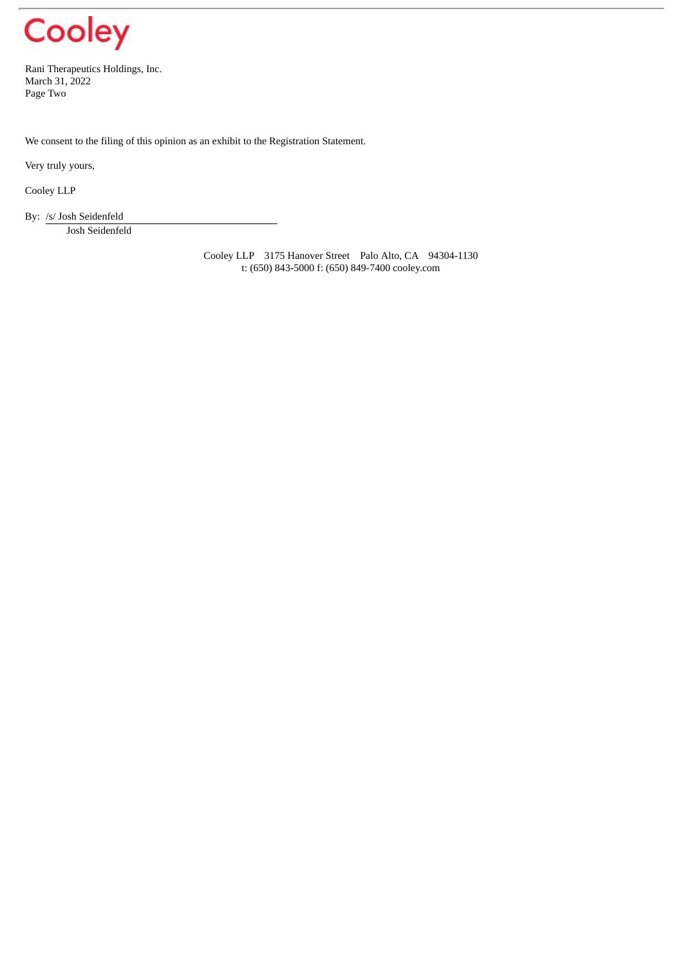

Rani Therapeutics Holdings, Inc. March 31, 2022 Page Two

We consent to the filing of this opinion as an exhibit to the Registration Statement.

Very truly yours,

Cooley LLP

By: /s/ Josh Seidenfeld

Josh Seidenfeld

Cooley LLP 3175 Hanover Street Palo Alto, CA 94304-1130 t: (650) 843-5000 f: (650) 849-7400 cooley.com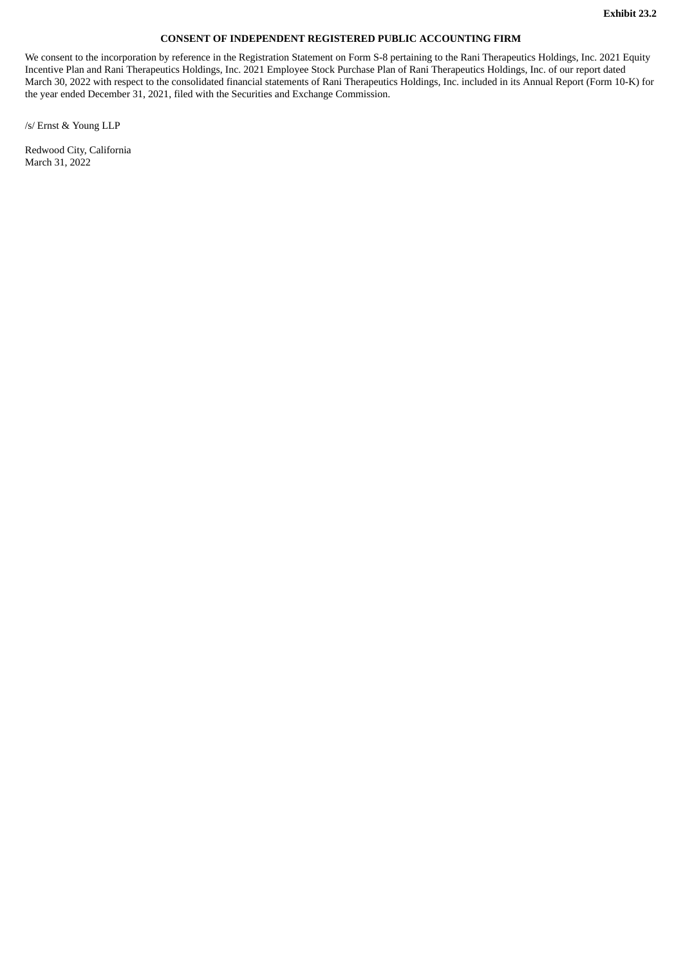#### **CONSENT OF INDEPENDENT REGISTERED PUBLIC ACCOUNTING FIRM**

<span id="page-7-0"></span>We consent to the incorporation by reference in the Registration Statement on Form S-8 pertaining to the Rani Therapeutics Holdings, Inc. 2021 Equity Incentive Plan and Rani Therapeutics Holdings, Inc. 2021 Employee Stock Purchase Plan of Rani Therapeutics Holdings, Inc. of our report dated March 30, 2022 with respect to the consolidated financial statements of Rani Therapeutics Holdings, Inc. included in its Annual Report (Form 10-K) for the year ended December 31, 2021, filed with the Securities and Exchange Commission.

/s/ Ernst & Young LLP

Redwood City, California March 31, 2022